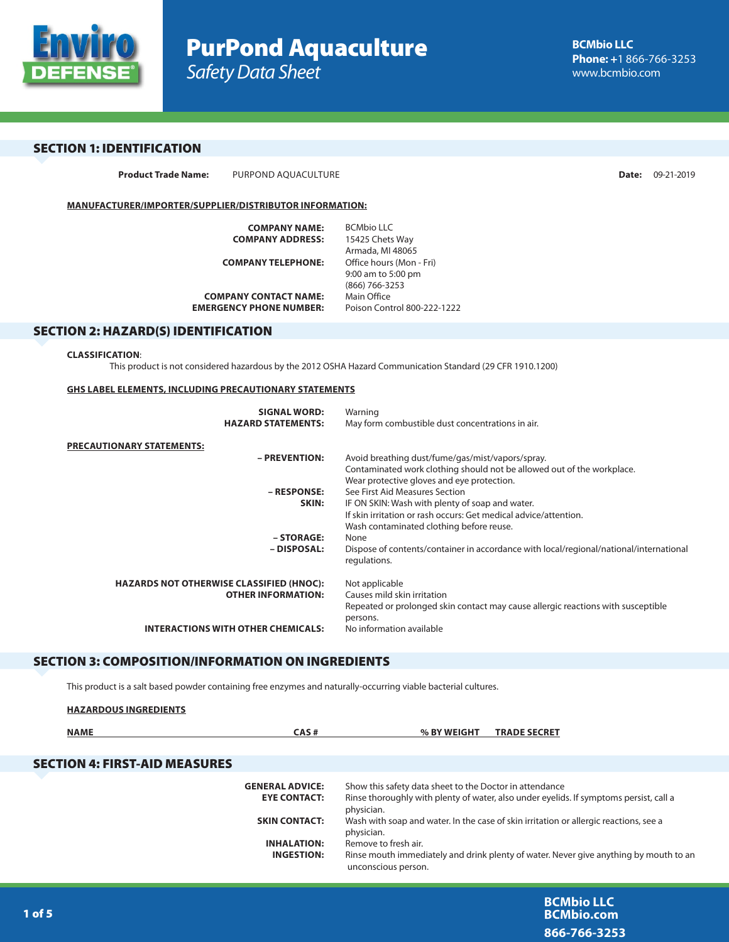

# SECTION 1: IDENTIFICATION

**Product Trade Name:** PURPOND AQUACULTURE **Date:** 09-21-2019

## **MANUFACTURER/IMPORTER/SUPPLIER/DISTRIBUTOR INFORMATION:**

| <b>COMPANY NAME:</b>           | <b>BCMbio LLC</b>           |
|--------------------------------|-----------------------------|
| <b>COMPANY ADDRESS:</b>        | 15425 Chets Way             |
|                                | Armada, MI 48065            |
| <b>COMPANY TELEPHONE:</b>      | Office hours (Mon - Fri)    |
|                                | 9:00 am to 5:00 pm          |
|                                | (866) 766-3253              |
| <b>COMPANY CONTACT NAME:</b>   | Main Office                 |
| <b>EMERGENCY PHONE NUMBER:</b> | Poison Control 800-222-1222 |
|                                |                             |

# SECTION 2: HAZARD(S) IDENTIFICATION

#### **CLASSIFICATION**:

This product is not considered hazardous by the 2012 OSHA Hazard Communication Standard (29 CFR 1910.1200)

#### **GHS LABEL ELEMENTS, INCLUDING PRECAUTIONARY STATEMENTS**

| <b>SIGNAL WORD:</b>                             | Warning                                                                                                             |
|-------------------------------------------------|---------------------------------------------------------------------------------------------------------------------|
| <b>HAZARD STATEMENTS:</b>                       | May form combustible dust concentrations in air.                                                                    |
| PRECAUTIONARY STATEMENTS:                       |                                                                                                                     |
| - PREVENTION:                                   | Avoid breathing dust/fume/gas/mist/vapors/spray.                                                                    |
|                                                 | Contaminated work clothing should not be allowed out of the workplace.                                              |
| - RESPONSE:                                     | Wear protective gloves and eye protection.<br>See First Aid Measures Section                                        |
| SKIN:                                           |                                                                                                                     |
|                                                 | IF ON SKIN: Wash with plenty of soap and water.<br>If skin irritation or rash occurs: Get medical advice/attention. |
|                                                 | Wash contaminated clothing before reuse.                                                                            |
| - STORAGE:                                      | None                                                                                                                |
| – DISPOSAL:                                     | Dispose of contents/container in accordance with local/regional/national/international                              |
|                                                 | regulations.                                                                                                        |
|                                                 |                                                                                                                     |
| <b>HAZARDS NOT OTHERWISE CLASSIFIED (HNOC):</b> | Not applicable                                                                                                      |
| <b>OTHER INFORMATION:</b>                       | Causes mild skin irritation                                                                                         |
|                                                 | Repeated or prolonged skin contact may cause allergic reactions with susceptible                                    |
|                                                 | persons.                                                                                                            |
| <b>INTERACTIONS WITH OTHER CHEMICALS:</b>       | No information available                                                                                            |
|                                                 |                                                                                                                     |

# SECTION 3: COMPOSITION/INFORMATION ON INGREDIENTS

This product is a salt based powder containing free enzymes and naturally-occurring viable bacterial cultures.

| <b>HAZARDOUS INGREDIENTS</b>         |                                               |                                                                                                                                                                 |
|--------------------------------------|-----------------------------------------------|-----------------------------------------------------------------------------------------------------------------------------------------------------------------|
| <b>NAME</b>                          | CAS#                                          | % BY WEIGHT<br><b>TRADE SECRET</b>                                                                                                                              |
| <b>SECTION 4: FIRST-AID MEASURES</b> |                                               |                                                                                                                                                                 |
|                                      | <b>GENERAL ADVICE:</b><br><b>EYE CONTACT:</b> | Show this safety data sheet to the Doctor in attendance<br>Rinse thoroughly with plenty of water, also under eyelids. If symptoms persist, call a<br>physician. |
|                                      | <b>SKIN CONTACT:</b>                          | Wash with soap and water. In the case of skin irritation or allergic reactions, see a<br>physician.                                                             |
|                                      | <b>INHALATION:</b>                            | Remove to fresh air.                                                                                                                                            |
|                                      | <b>INGESTION:</b>                             | Rinse mouth immediately and drink plenty of water. Never give anything by mouth to an<br>unconscious person.                                                    |
|                                      |                                               |                                                                                                                                                                 |
|                                      |                                               | --------                                                                                                                                                        |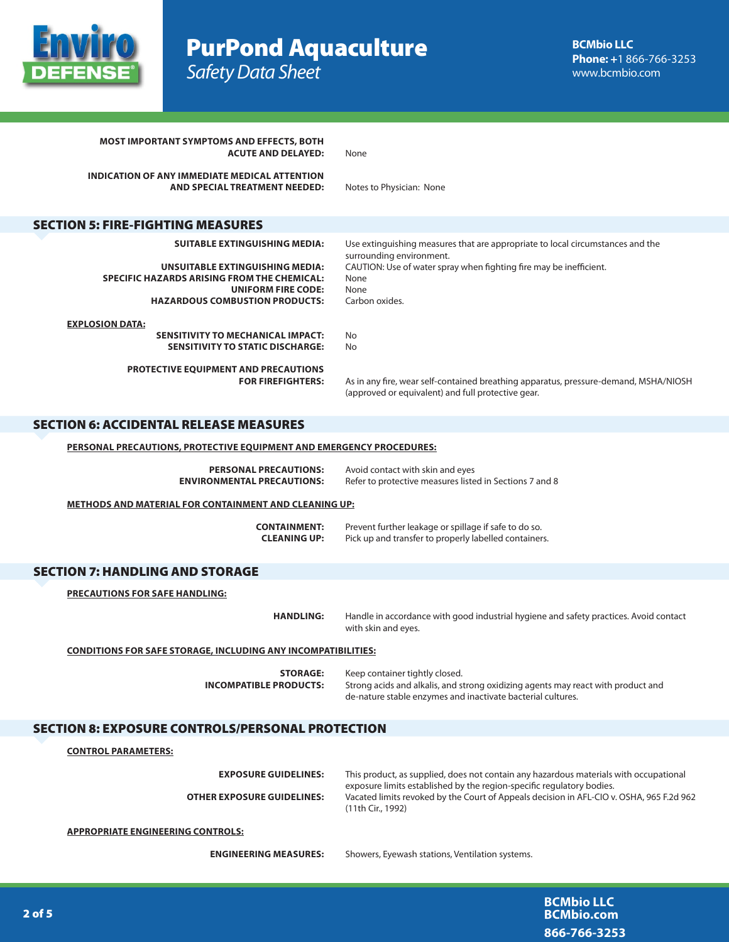

PurPond Aquaculture *Safety Data Sheet*

| <b>MOST IMPORTANT SYMPTOMS AND EFFECTS, BOTH</b><br><b>ACUTE AND DELAYED:</b>                                                                               | None                                                                                                                                                                                   |
|-------------------------------------------------------------------------------------------------------------------------------------------------------------|----------------------------------------------------------------------------------------------------------------------------------------------------------------------------------------|
| <b>INDICATION OF ANY IMMEDIATE MEDICAL ATTENTION</b><br>AND SPECIAL TREATMENT NEEDED:                                                                       | Notes to Physician: None                                                                                                                                                               |
| <b>SECTION 5: FIRE-FIGHTING MEASURES</b>                                                                                                                    |                                                                                                                                                                                        |
| <b>SUITABLE EXTINGUISHING MEDIA:</b>                                                                                                                        | Use extinguishing measures that are appropriate to local circumstances and the                                                                                                         |
| <b>UNSUITABLE EXTINGUISHING MEDIA:</b><br>SPECIFIC HAZARDS ARISING FROM THE CHEMICAL:<br><b>UNIFORM FIRE CODE:</b><br><b>HAZARDOUS COMBUSTION PRODUCTS:</b> | surrounding environment.<br>CAUTION: Use of water spray when fighting fire may be inefficient.<br>None<br>None<br>Carbon oxides.                                                       |
| <b>EXPLOSION DATA:</b>                                                                                                                                      |                                                                                                                                                                                        |
| <b>SENSITIVITY TO MECHANICAL IMPACT:</b><br><b>SENSITIVITY TO STATIC DISCHARGE:</b>                                                                         | No<br>No                                                                                                                                                                               |
| <b>PROTECTIVE EQUIPMENT AND PRECAUTIONS</b><br><b>FOR FIREFIGHTERS:</b>                                                                                     | As in any fire, wear self-contained breathing apparatus, pressure-demand, MSHA/NIOSH<br>(approved or equivalent) and full protective gear.                                             |
| <b>SECTION 6: ACCIDENTAL RELEASE MEASURES</b>                                                                                                               |                                                                                                                                                                                        |
| <b>PERSONAL PRECAUTIONS, PROTECTIVE EQUIPMENT AND EMERGENCY PROCEDURES:</b>                                                                                 |                                                                                                                                                                                        |
| <b>PERSONAL PRECAUTIONS:</b><br><b>ENVIRONMENTAL PRECAUTIONS:</b>                                                                                           | Avoid contact with skin and eyes<br>Refer to protective measures listed in Sections 7 and 8                                                                                            |
| <b>METHODS AND MATERIAL FOR CONTAINMENT AND CLEANING UP:</b>                                                                                                |                                                                                                                                                                                        |
| <b>CONTAINMENT:</b><br><b>CLEANING UP:</b>                                                                                                                  | Prevent further leakage or spillage if safe to do so.<br>Pick up and transfer to properly labelled containers.                                                                         |
| <b>SECTION 7: HANDLING AND STORAGE</b>                                                                                                                      |                                                                                                                                                                                        |
| <b>PRECAUTIONS FOR SAFE HANDLING:</b>                                                                                                                       |                                                                                                                                                                                        |
| <b>HANDLING:</b>                                                                                                                                            | Handle in accordance with good industrial hygiene and safety practices. Avoid contact<br>with skin and eyes.                                                                           |
| <b>CONDITIONS FOR SAFE STORAGE, INCLUDING ANY INCOMPATIBILITIES:</b>                                                                                        |                                                                                                                                                                                        |
| <b>STORAGE:</b><br><b>INCOMPATIBLE PRODUCTS:</b>                                                                                                            | Keep container tightly closed.<br>Strong acids and alkalis, and strong oxidizing agents may react with product and<br>de-nature stable enzymes and inactivate bacterial cultures.      |
| <b>SECTION 8: EXPOSURE CONTROLS/PERSONAL PROTECTION</b>                                                                                                     |                                                                                                                                                                                        |
| <b>CONTROL PARAMETERS:</b>                                                                                                                                  |                                                                                                                                                                                        |
| <b>EXPOSURE GUIDELINES:</b>                                                                                                                                 | This product, as supplied, does not contain any hazardous materials with occupational                                                                                                  |
| <b>OTHER EXPOSURE GUIDELINES:</b>                                                                                                                           | exposure limits established by the region-specific regulatory bodies.<br>Vacated limits revoked by the Court of Appeals decision in AFL-CIO v. OSHA, 965 F.2d 962<br>(11th Cir., 1992) |
| <b>APPROPRIATE ENGINEERING CONTROLS:</b>                                                                                                                    |                                                                                                                                                                                        |
| <b>ENGINEERING MEASURES:</b>                                                                                                                                | Showers, Eyewash stations, Ventilation systems.                                                                                                                                        |
|                                                                                                                                                             |                                                                                                                                                                                        |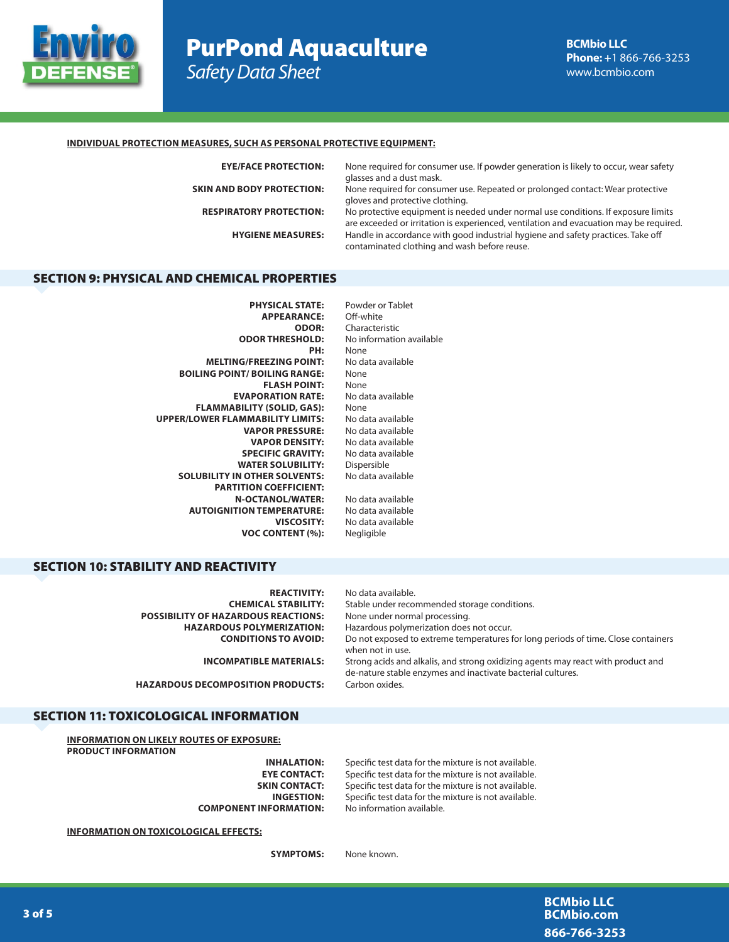

# PurPond Aquaculture *Safety Data Sheet*

## **INDIVIDUAL PROTECTION MEASURES, SUCH AS PERSONAL PROTECTIVE EQUIPMENT:**

| <b>EYE/FACE PROTECTION:</b>      | None required for consumer use. If powder generation is likely to occur, wear safety<br>glasses and a dust mask.                                                            |
|----------------------------------|-----------------------------------------------------------------------------------------------------------------------------------------------------------------------------|
| <b>SKIN AND BODY PROTECTION:</b> | None required for consumer use. Repeated or prolonged contact: Wear protective<br>gloves and protective clothing.                                                           |
| <b>RESPIRATORY PROTECTION:</b>   | No protective equipment is needed under normal use conditions. If exposure limits<br>are exceeded or irritation is experienced, ventilation and evacuation may be required. |
| <b>HYGIENE MEASURES:</b>         | Handle in accordance with good industrial hygiene and safety practices. Take off<br>contaminated clothing and wash before reuse.                                            |
|                                  |                                                                                                                                                                             |

# SECTION 9: PHYSICAL AND CHEMICAL PROPERTIES

| Powder or Tablet         |
|--------------------------|
| Off-white                |
| Characteristic           |
| No information available |
| None                     |
| No data available        |
| None                     |
| None                     |
| No data available        |
| None                     |
| No data available        |
| No data available        |
| No data available        |
| No data available        |
| Dispersible              |
| No data available        |
|                          |
| No data available        |
| No data available        |
| No data available        |
| Negligible               |
|                          |

# SECTION 10: STABILITY AND REACTIVITY

| <b>REACTIVITY:</b>                         | No data available.                                                                                                                              |
|--------------------------------------------|-------------------------------------------------------------------------------------------------------------------------------------------------|
| <b>CHEMICAL STABILITY:</b>                 | Stable under recommended storage conditions.                                                                                                    |
| <b>POSSIBILITY OF HAZARDOUS REACTIONS:</b> | None under normal processing.                                                                                                                   |
| <b>HAZARDOUS POLYMERIZATION:</b>           | Hazardous polymerization does not occur.                                                                                                        |
| <b>CONDITIONS TO AVOID:</b>                | Do not exposed to extreme temperatures for long periods of time. Close containers<br>when not in use.                                           |
| <b>INCOMPATIBLE MATERIALS:</b>             | Strong acids and alkalis, and strong oxidizing agents may react with product and<br>de-nature stable enzymes and inactivate bacterial cultures. |
| <b>HAZARDOUS DECOMPOSITION PRODUCTS:</b>   | Carbon oxides.                                                                                                                                  |

## SECTION 11: TOXICOLOGICAL INFORMATION

**INFORMATION ON LIKELY ROUTES OF EXPOSURE: PRODUCT INFORMATION**

**COMPONENT INFORMATION:** No information available.

**INHALATION:** Specific test data for the mixture is not available. **EYE CONTACT:** Specific test data for the mixture is not available.<br>**SKIN CONTACT:** Specific test data for the mixture is not available. Specific test data for the mixture is not available. **INGESTION:** Specific test data for the mixture is not available.

**INFORMATION ON TOXICOLOGICAL EFFECTS:**

**SYMPTOMS:** None known.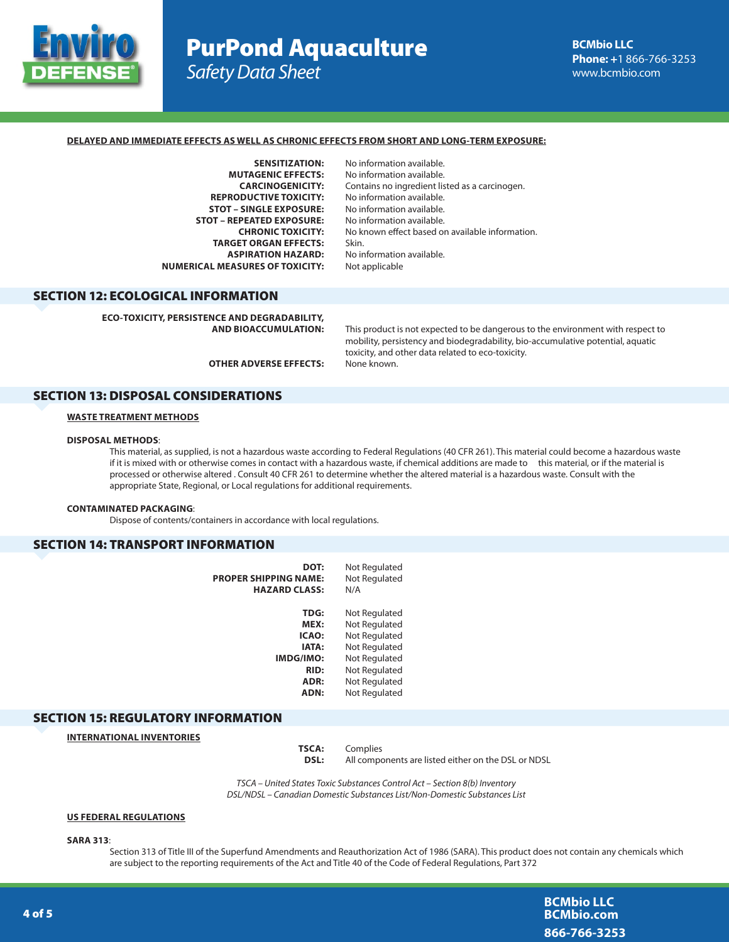

# PurPond Aquaculture *Safety Data Sheet*

#### **DELAYED AND IMMEDIATE EFFECTS AS WELL AS CHRONIC EFFECTS FROM SHORT AND LONG-TERM EXPOSURE:**

**MUTAGENIC EFFECTS:** No information available. **REPRODUCTIVE TOXICITY:** No information available.<br>**STOT – SINGLE EXPOSURE:** No information available. **STOT – SINGLE EXPOSURE: STOT – REPEATED EXPOSURE:** No information available. **TARGET ORGAN EFFECTS:** Skin.<br>**ASPIRATION HAZARD:** No ir **NUMERICAL MEASURES OF TOXICITY:** Not applicable

**SENSITIZATION:** No information available. **CARCINOGENICITY:** Contains no ingredient listed as a carcinogen. **CHRONIC TOXICITY:** No known effect based on available information. **No information available.** 

# SECTION 12: ECOLOGICAL INFORMATION

**ECO-TOXICITY, PERSISTENCE AND DEGRADABILITY,** 

**AND BIOACCUMULATION:** This product is not expected to be dangerous to the environment with respect to mobility, persistency and biodegradability, bio-accumulative potential, aquatic toxicity, and other data related to eco-toxicity.

**OTHER ADVERSE EFFECTS:** None known.

### SECTION 13: DISPOSAL CONSIDERATIONS

## **WASTE TREATMENT METHODS**

### **DISPOSAL METHODS**:

This material, as supplied, is not a hazardous waste according to Federal Regulations (40 CFR 261). This material could become a hazardous waste if it is mixed with or otherwise comes in contact with a hazardous waste, if chemical additions are made to this material, or if the material is processed or otherwise altered . Consult 40 CFR 261 to determine whether the altered material is a hazardous waste. Consult with the appropriate State, Regional, or Local regulations for additional requirements.

#### **CONTAMINATED PACKAGING**:

Dispose of contents/containers in accordance with local regulations.

## SECTION 14: TRANSPORT INFORMATION

| DOT:                         | Not Regulated |
|------------------------------|---------------|
| <b>PROPER SHIPPING NAME:</b> | Not Regulated |
| <b>HAZARD CLASS:</b>         | N/A           |
|                              |               |
| TDG:                         | Not Regulated |
| MEX:                         | Not Regulated |
| ICAO:                        | Not Regulated |
| IATA:                        | Not Regulated |
| IMDG/IMO:                    | Not Regulated |
| <b>RID:</b>                  | Not Regulated |
| ADR:                         | Not Regulated |
| ADN:                         | Not Regulated |

## SECTION 15: REGULATORY INFORMATION

**INTERNATIONAL INVENTORIES**

**TSCA:** Complies **DSL:** All components are listed either on the DSL or NDSL

*TSCA – United States Toxic Substances Control Act – Section 8(b) Inventory DSL/NDSL – Canadian Domestic Substances List/Non-Domestic Substances List*

## **US FEDERAL REGULATIONS**

**SARA 313**:

Section 313 of Title III of the Superfund Amendments and Reauthorization Act of 1986 (SARA). This product does not contain any chemicals which are subject to the reporting requirements of the Act and Title 40 of the Code of Federal Regulations, Part 372